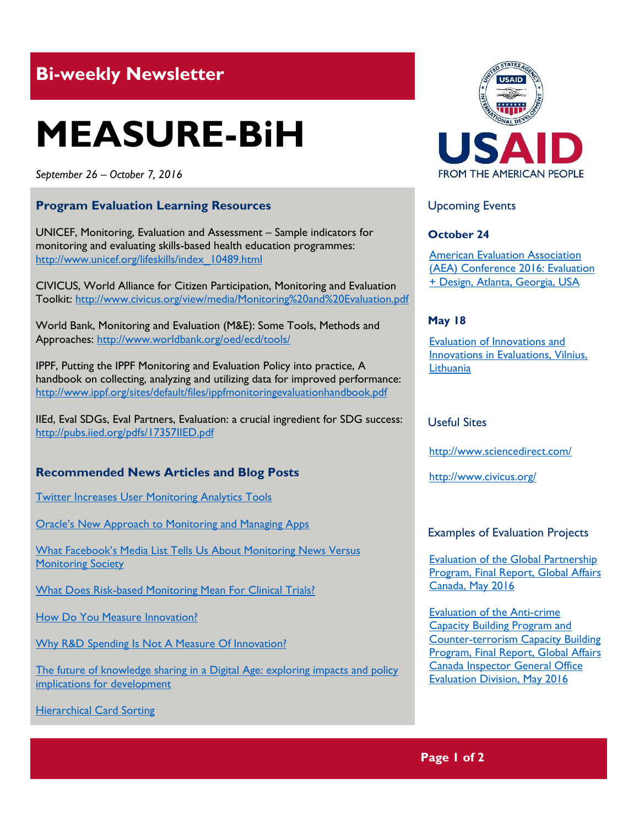# **Bi-weekly Newsletter**

# **MEASURE-BiH**

*September 26 – October 7, 2016*

# **Program Evaluation Learning Resources**

UNICEF, Monitoring, Evaluation and Assessment – Sample indicators for monitoring and evaluating skills-based health education programmes: http://www.unicef.org/lifeskills/index\_10489.html

CIVICUS, World Alliance for Citizen Participation, Monitoring and Evaluation Toolkit: http://www.civicus.org/view/media/Monitoring%20and%20Evaluation.pdf

World Bank, Monitoring and Evaluation (M&E): Some Tools, Methods and Approaches:<http://www.worldbank.org/oed/ecd/tools/>

IPPF, Putting the IPPF Monitoring and Evaluation Policy into practice, A handbook on collecting, analyzing and utilizing data for improved performance: <http://www.ippf.org/sites/default/files/ippfmonitoringevaluationhandbook.pdf>

IIEd, Eval SDGs, Eval Partners, Evaluation: a crucial ingredient for SDG success: <http://pubs.iied.org/pdfs/17357IIED.pdf>

# **Recommended News Articles and Blog Posts**

[Twitter Increases User Monitoring Analytics Tools](http://www.forbes.com/sites/adrianbridgwater/2016/08/11/twitter-increases-user-monitoring-analytics-tools/#17a3014753c0)

[Oracle's New Approach to Monitoring and Managing Apps](http://www.forbes.com/sites/oracle/2016/09/22/oracles-new-approach-to-monitoring-and-managing-apps/#11f2f1107601)

What Facebook's M[edia List Tells Us About Monitoring News Versus](http://www.forbes.com/sites/kalevleetaru/2016/05/17/what-facebooks-media-list-tells-us-about-monitoring-news-versus-monitoring-society/#1ec52914620c)  **[Monitoring Society](http://www.forbes.com/sites/kalevleetaru/2016/05/17/what-facebooks-media-list-tells-us-about-monitoring-news-versus-monitoring-society/#1ec52914620c)** 

[What Does Risk-based Monitoring Mean For Clinical Trials?](http://www.forbes.com/sites/medidata/2016/02/11/what-does-risk-based-monitoring-mean-for-clinical-trials/#68c642d69dc8)

[How Do You Measure Innovation?](http://innovationexcellence.com/blog/2014/02/12/how-do-you-measure-innovation/)

[Why R&D Spending Is Not A Measure Of Innovation?](http://www.forbes.com/sites/tendayiviki/2016/08/21/why-rd-spending-is-not-a-measure-of-innovation/#118fb4164276)

[The future of knowledge sharing in a Digital Age: exploring impacts and policy](http://www.eldis.org/go/home&id=100474&type=Document#.V_Nta_l95hE)  [implications for development](http://www.eldis.org/go/home&id=100474&type=Document#.V_Nta_l95hE)

[Hierarchical Card Sorting](http://betterevaluation.org/en/evaluation-options/hierarchical_card_sorting)



Upcoming Events

### **October 24**

[American Evaluation Association](http://mande.co.uk/conferences/?event_id1=26)  [\(AEA\) Conference 2016: Evaluation](http://mande.co.uk/conferences/?event_id1=26)  [+ Design, Atlanta, Georgia, USA](http://mande.co.uk/conferences/?event_id1=26)

### **May 18**

[Evaluation of Innovations and](http://mande.co.uk/conferences/?event_id1=27)  [Innovations in Evaluations, Vilnius,](http://mande.co.uk/conferences/?event_id1=27)  **[Lithuania](http://mande.co.uk/conferences/?event_id1=27)** 

#### Useful Sites

<http://www.sciencedirect.com/>

<http://www.civicus.org/>

#### Examples of Evaluation Projects

[Evaluation of the Global Partnership](http://international.gc.ca/gac-amc/publications/evaluation/2016/eval_gpp-eval_ppm.aspx?lang=eng)  [Program, Final Report, Global Affairs](http://international.gc.ca/gac-amc/publications/evaluation/2016/eval_gpp-eval_ppm.aspx?lang=eng)  [Canada, May 2016](http://international.gc.ca/gac-amc/publications/evaluation/2016/eval_gpp-eval_ppm.aspx?lang=eng)

[Evaluation of the Anti-crime](http://international.gc.ca/gac-amc/publications/evaluation/2016/eval_accbp_ctcbp-eval_arclcc_arca.aspx?lang=eng)  [Capacity Building Program and](http://international.gc.ca/gac-amc/publications/evaluation/2016/eval_accbp_ctcbp-eval_arclcc_arca.aspx?lang=eng)  [Counter-terrorism Capacity](http://international.gc.ca/gac-amc/publications/evaluation/2016/eval_accbp_ctcbp-eval_arclcc_arca.aspx?lang=eng) Building [Program, Final Report, Global Affairs](http://international.gc.ca/gac-amc/publications/evaluation/2016/eval_accbp_ctcbp-eval_arclcc_arca.aspx?lang=eng)  [Canada Inspector General Office](http://international.gc.ca/gac-amc/publications/evaluation/2016/eval_accbp_ctcbp-eval_arclcc_arca.aspx?lang=eng)  [Evaluation Division, May 2016](http://international.gc.ca/gac-amc/publications/evaluation/2016/eval_accbp_ctcbp-eval_arclcc_arca.aspx?lang=eng)

**Page 1 of 2**